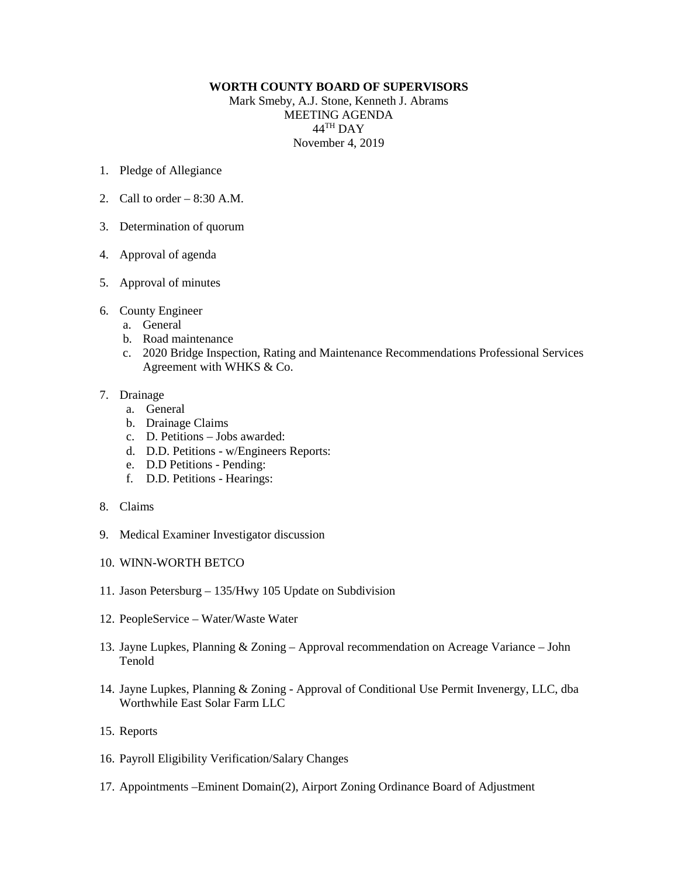## **WORTH COUNTY BOARD OF SUPERVISORS**

Mark Smeby, A.J. Stone, Kenneth J. Abrams MEETING AGENDA 44TH DAY November 4, 2019

- 1. Pledge of Allegiance
- 2. Call to order  $-8:30$  A.M.
- 3. Determination of quorum
- 4. Approval of agenda
- 5. Approval of minutes
- 6. County Engineer
	- a. General
	- b. Road maintenance
	- c. 2020 Bridge Inspection, Rating and Maintenance Recommendations Professional Services Agreement with WHKS & Co.

## 7. Drainage

- a. General
- b. Drainage Claims
- c. D. Petitions Jobs awarded:
- d. D.D. Petitions w/Engineers Reports:
- e. D.D Petitions Pending:
- f. D.D. Petitions Hearings:
- 8. Claims
- 9. Medical Examiner Investigator discussion
- 10. WINN-WORTH BETCO
- 11. Jason Petersburg 135/Hwy 105 Update on Subdivision
- 12. PeopleService Water/Waste Water
- 13. Jayne Lupkes, Planning & Zoning Approval recommendation on Acreage Variance John Tenold
- 14. Jayne Lupkes, Planning & Zoning Approval of Conditional Use Permit Invenergy, LLC, dba Worthwhile East Solar Farm LLC
- 15. Reports
- 16. Payroll Eligibility Verification/Salary Changes
- 17. Appointments –Eminent Domain(2), Airport Zoning Ordinance Board of Adjustment